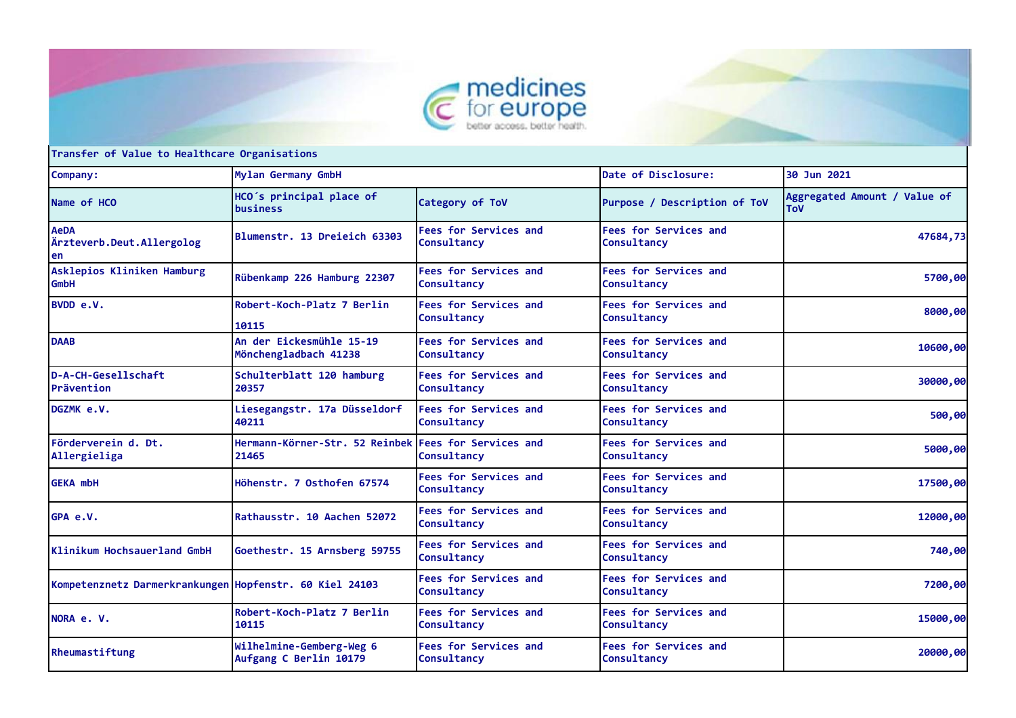



**Transfer of Value to Healthcare Organisations**

| Company:                                                | Mylan Germany GmbH                                 |                                             | Date of Disclosure:                         | 30 Jun 2021                                |
|---------------------------------------------------------|----------------------------------------------------|---------------------------------------------|---------------------------------------------|--------------------------------------------|
| Name of HCO                                             | HCO's principal place of<br>business               | Category of ToV                             | Purpose / Description of ToV                | Aggregated Amount / Value of<br><b>ToV</b> |
| <b>AeDA</b><br>Ärzteverb.Deut.Allergolog<br>en          | Blumenstr. 13 Dreieich 63303                       | <b>Fees for Services and</b><br>Consultancy | <b>Fees for Services and</b><br>Consultancy | 47684,73                                   |
| Asklepios Kliniken Hamburg<br><b>GmbH</b>               | Rübenkamp 226 Hamburg 22307                        | <b>Fees for Services and</b><br>Consultancy | <b>Fees for Services and</b><br>Consultancy | 5700,00                                    |
| BVDD e.V.                                               | Robert-Koch-Platz 7 Berlin<br>10115                | <b>Fees for Services and</b><br>Consultancy | <b>Fees for Services and</b><br>Consultancy | 8000,00                                    |
| <b>DAAB</b>                                             | An der Eickesmühle 15-19<br>Mönchengladbach 41238  | <b>Fees for Services and</b><br>Consultancy | <b>Fees for Services and</b><br>Consultancy | 10600,00                                   |
| D-A-CH-Gesellschaft<br>Prävention                       | Schulterblatt 120 hamburg<br>20357                 | <b>Fees for Services and</b><br>Consultancy | <b>Fees for Services and</b><br>Consultancy | 30000,00                                   |
| DGZMK e.V.                                              | Liesegangstr. 17a Düsseldorf<br>40211              | <b>Fees for Services and</b><br>Consultancy | <b>Fees for Services and</b><br>Consultancy | 500,00                                     |
| Förderverein d. Dt.<br>Allergieliga                     | Hermann-Körner-Str. 52 Reinbek<br>21465            | <b>Fees for Services and</b><br>Consultancy | <b>Fees for Services and</b><br>Consultancy | 5000,00                                    |
| <b>GEKA mbH</b>                                         | Höhenstr. 7 Osthofen 67574                         | <b>Fees for Services and</b><br>Consultancy | <b>Fees for Services and</b><br>Consultancy | 17500,00                                   |
| GPA e.V.                                                | Rathausstr. 10 Aachen 52072                        | <b>Fees for Services and</b><br>Consultancy | <b>Fees for Services and</b><br>Consultancy | 12000,00                                   |
| Klinikum Hochsauerland GmbH                             | Goethestr. 15 Arnsberg 59755                       | <b>Fees for Services and</b><br>Consultancy | <b>Fees for Services and</b><br>Consultancy | 740,00                                     |
| Kompetenznetz Darmerkrankungen Hopfenstr. 60 Kiel 24103 |                                                    | <b>Fees for Services and</b><br>Consultancy | <b>Fees for Services and</b><br>Consultancy | 7200,00                                    |
| NORA e. V.                                              | Robert-Koch-Platz 7 Berlin<br>10115                | <b>Fees for Services and</b><br>Consultancy | <b>Fees for Services and</b><br>Consultancy | 15000,00                                   |
| Rheumastiftung                                          | Wilhelmine-Gemberg-Weg 6<br>Aufgang C Berlin 10179 | <b>Fees for Services and</b><br>Consultancy | <b>Fees for Services and</b><br>Consultancy | 20000,00                                   |